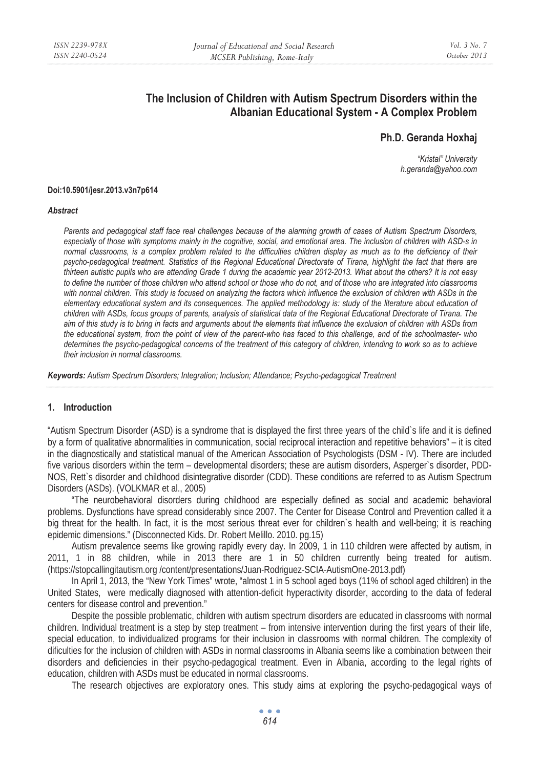# **The Inclusion of Children with Autism Spectrum Disorders within the Albanian Educational System - A Complex Problem**

# **Ph.D. Geranda Hoxhaj**

*"Kristal" University h.geranda@yahoo.com* 

#### **Doi:10.5901/jesr.2013.v3n7p614**

#### *Abstract*

*Parents and pedagogical staff face real challenges because of the alarming growth of cases of Autism Spectrum Disorders, especially of those with symptoms mainly in the cognitive, social, and emotional area. The inclusion of children with ASD-s in normal classrooms, is a complex problem related to the difficulties children display as much as to the deficiency of their psycho-pedagogical treatment. Statistics of the Regional Educational Directorate of Tirana, highlight the fact that there are thirteen autistic pupils who are attending Grade 1 during the academic year 2012-2013. What about the others? It is not easy to define the number of those children who attend school or those who do not, and of those who are integrated into classrooms with normal children. This study is focused on analyzing the factors which influence the exclusion of children with ASDs in the elementary educational system and its consequences. The applied methodology is: study of the literature about education of children with ASDs, focus groups of parents, analysis of statistical data of the Regional Educational Directorate of Tirana. The aim of this study is to bring in facts and arguments about the elements that influence the exclusion of children with ASDs from the educational system, from the point of view of the parent-who has faced to this challenge, and of the schoolmaster- who determines the psycho-pedagogical concerns of the treatment of this category of children, intending to work so as to achieve their inclusion in normal classrooms.* 

*Keywords: Autism Spectrum Disorders; Integration; Inclusion; Attendance; Psycho-pedagogical Treatment* 

#### **1. Introduction**

"Autism Spectrum Disorder (ASD) is a syndrome that is displayed the first three years of the child`s life and it is defined by a form of qualitative abnormalities in communication, social reciprocal interaction and repetitive behaviors" – it is cited in the diagnostically and statistical manual of the American Association of Psychologists (DSM - IV). There are included five various disorders within the term – developmental disorders; these are autism disorders, Asperger`s disorder, PDD-NOS, Rett`s disorder and childhood disintegrative disorder (CDD). These conditions are referred to as Autism Spectrum Disorders (ASDs). (VOLKMAR et al., 2005)

"The neurobehavioral disorders during childhood are especially defined as social and academic behavioral problems. Dysfunctions have spread considerably since 2007. The Center for Disease Control and Prevention called it a big threat for the health. In fact, it is the most serious threat ever for children`s health and well-being; it is reaching epidemic dimensions." (Disconnected Kids. Dr. Robert Melillo. 2010. pg.15)

Autism prevalence seems like growing rapidly every day. In 2009, 1 in 110 children were affected by autism, in 2011, 1 in 88 children, while in 2013 there are 1 in 50 children currently being treated for autism. (https://stopcallingitautism.org /content/presentations/Juan-Rodriguez-SCIA-AutismOne-2013.pdf)

In April 1, 2013, the "New York Times" wrote, "almost 1 in 5 school aged boys (11% of school aged children) in the United States, were medically diagnosed with attention-deficit hyperactivity disorder, according to the data of federal centers for disease control and prevention."

Despite the possible problematic, children with autism spectrum disorders are educated in classrooms with normal children. Individual treatment is a step by step treatment – from intensive intervention during the first years of their life, special education, to individualized programs for their inclusion in classrooms with normal children. The complexity of dificulties for the inclusion of children with ASDs in normal classrooms in Albania seems like a combination between their disorders and deficiencies in their psycho-pedagogical treatment. Even in Albania, according to the legal rights of education, children with ASDs must be educated in normal classrooms.

The research objectives are exploratory ones. This study aims at exploring the psycho-pedagogical ways of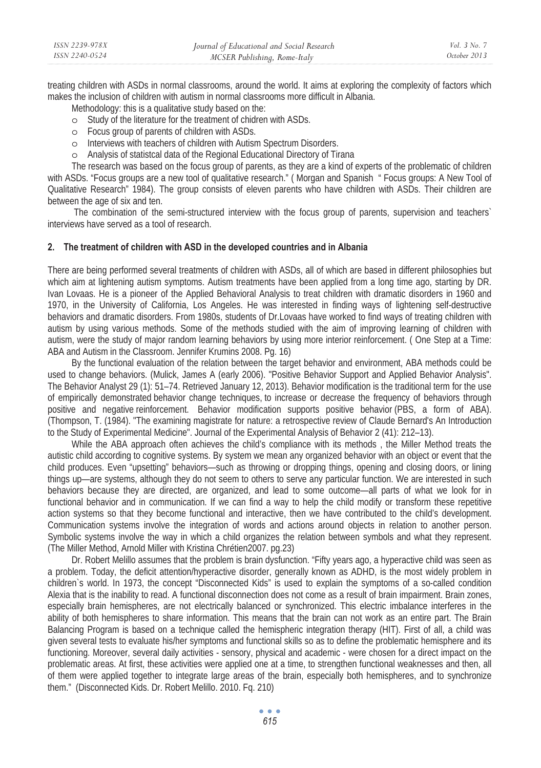| ISSN 2239-978X | Journal of Educational and Social Research | Vol. 3 No. 7 |
|----------------|--------------------------------------------|--------------|
| ISSN 2240-0524 | MCSER Publishing, Rome-Italy               | October 2013 |

treating children with ASDs in normal classrooms, around the world. It aims at exploring the complexity of factors which makes the inclusion of children with autism in normal classrooms more difficult in Albania.

Methodology: this is a qualitative study based on the:

- o Study of the literature for the treatment of chidren with ASDs.
- o Focus group of parents of children with ASDs.
- o Interviews with teachers of children with Autism Spectrum Disorders.
- o Analysis of statistcal data of the Regional Educational Directory of Tirana

The research was based on the focus group of parents, as they are a kind of experts of the problematic of children with ASDs. "Focus groups are a new tool of qualitative research." ( Morgan and Spanish " Focus groups: A New Tool of Qualitative Research" 1984). The group consists of eleven parents who have children with ASDs. Their children are between the age of six and ten.

 The combination of the semi-structured interview with the focus group of parents, supervision and teachers` interviews have served as a tool of research.

#### **2. The treatment of children with ASD in the developed countries and in Albania**

There are being performed several treatments of children with ASDs, all of which are based in different philosophies but which aim at lightening autism symptoms. Autism treatments have been applied from a long time ago, starting by DR. Ivan Lovaas. He is a pioneer of the Applied Behavioral Analysis to treat children with dramatic disorders in 1960 and 1970, in the University of California, Los Angeles. He was interested in finding ways of lightening self-destructive behaviors and dramatic disorders. From 1980s, students of Dr.Lovaas have worked to find ways of treating children with autism by using various methods. Some of the methods studied with the aim of improving learning of children with autism, were the study of major random learning behaviors by using more interior reinforcement. ( One Step at a Time: ABA and Autism in the Classroom. Jennifer Krumins 2008. Pg. 16)

By the functional evaluation of the relation between the target behavior and environment, ABA methods could be used to change behaviors. (Mulick, James A (early 2006). "Positive Behavior Support and Applied Behavior Analysis". The Behavior Analyst 29 (1): 51–74. Retrieved January 12, 2013). Behavior modification is the traditional term for the use of empirically demonstrated behavior change techniques, to increase or decrease the frequency of behaviors through positive and negative reinforcement. Behavior modification supports positive behavior (PBS, a form of ABA). (Thompson, T. (1984). "The examining magistrate for nature: a retrospective review of Claude Bernard's An Introduction to the Study of Experimental Medicine". Journal of the Experimental Analysis of Behavior 2 (41): 212–13).

While the ABA approach often achieves the child's compliance with its methods , the Miller Method treats the autistic child according to cognitive systems. By system we mean any organized behavior with an object or event that the child produces. Even "upsetting" behaviors—such as throwing or dropping things, opening and closing doors, or lining things up—are systems, although they do not seem to others to serve any particular function. We are interested in such behaviors because they are directed, are organized, and lead to some outcome—all parts of what we look for in functional behavior and in communication. If we can find a way to help the child modify or transform these repetitive action systems so that they become functional and interactive, then we have contributed to the child's development. Communication systems involve the integration of words and actions around objects in relation to another person. Symbolic systems involve the way in which a child organizes the relation between symbols and what they represent. (The Miller Method, Arnold Miller with Kristina Chrétien2007. pg.23)

Dr. Robert Melillo assumes that the problem is brain dysfunction. "Fifty years ago, a hyperactive child was seen as a problem. Today, the deficit attention/hyperactive disorder, generally known as ADHD, is the most widely problem in children`s world. In 1973, the concept "Disconnected Kids" is used to explain the symptoms of a so-called condition Alexia that is the inability to read. A functional disconnection does not come as a result of brain impairment. Brain zones, especially brain hemispheres, are not electrically balanced or synchronized. This electric imbalance interferes in the ability of both hemispheres to share information. This means that the brain can not work as an entire part. The Brain Balancing Program is based on a technique called the hemispheric integration therapy (HIT). First of all, a child was given several tests to evaluate his/her symptoms and functional skills so as to define the problematic hemisphere and its functioning. Moreover, several daily activities - sensory, physical and academic - were chosen for a direct impact on the problematic areas. At first, these activities were applied one at a time, to strengthen functional weaknesses and then, all of them were applied together to integrate large areas of the brain, especially both hemispheres, and to synchronize them." (Disconnected Kids. Dr. Robert Melillo. 2010. Fq. 210)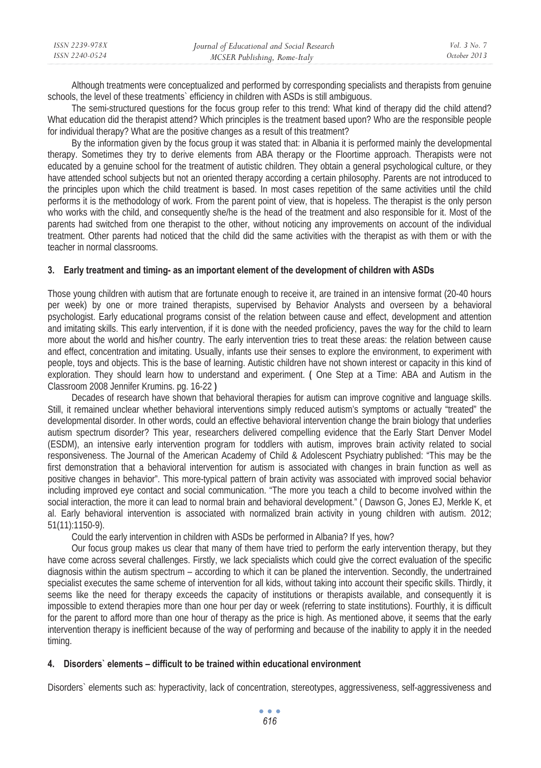| ISSN 2239-978X | Journal of Educational and Social Research | Vol. 3 No. 7 |
|----------------|--------------------------------------------|--------------|
| ISSN 2240-0524 | MCSER Publishing, Rome-Italy               | October 2013 |

Although treatments were conceptualized and performed by corresponding specialists and therapists from genuine schools, the level of these treatments` efficiency in children with ASDs is still ambiguous.

The semi-structured questions for the focus group refer to this trend: What kind of therapy did the child attend? What education did the therapist attend? Which principles is the treatment based upon? Who are the responsible people for individual therapy? What are the positive changes as a result of this treatment?

By the information given by the focus group it was stated that: in Albania it is performed mainly the developmental therapy. Sometimes they try to derive elements from ABA therapy or the Floortime approach. Therapists were not educated by a genuine school for the treatment of autistic children. They obtain a general psychological culture, or they have attended school subjects but not an oriented therapy according a certain philosophy. Parents are not introduced to the principles upon which the child treatment is based. In most cases repetition of the same activities until the child performs it is the methodology of work. From the parent point of view, that is hopeless. The therapist is the only person who works with the child, and consequently she/he is the head of the treatment and also responsible for it. Most of the parents had switched from one therapist to the other, without noticing any improvements on account of the individual treatment. Other parents had noticed that the child did the same activities with the therapist as with them or with the teacher in normal classrooms.

#### **3. Early treatment and timing- as an important element of the development of children with ASDs**

Those young children with autism that are fortunate enough to receive it, are trained in an intensive format (20-40 hours per week) by one or more trained therapists, supervised by Behavior Analysts and overseen by a behavioral psychologist. Early educational programs consist of the relation between cause and effect, development and attention and imitating skills. This early intervention, if it is done with the needed proficiency, paves the way for the child to learn more about the world and his/her country. The early intervention tries to treat these areas: the relation between cause and effect, concentration and imitating. Usually, infants use their senses to explore the environment, to experiment with people, toys and objects. This is the base of learning. Autistic children have not shown interest or capacity in this kind of exploration. They should learn how to understand and experiment. **(** One Step at a Time: ABA and Autism in the Classroom 2008 Jennifer Krumins. pg. 16-22 **)** 

Decades of research have shown that behavioral therapies for autism can improve cognitive and language skills. Still, it remained unclear whether behavioral interventions simply reduced autism's symptoms or actually "treated" the developmental disorder. In other words, could an effective behavioral intervention change the brain biology that underlies autism spectrum disorder? This year, researchers delivered compelling evidence that the Early Start Denver Model (ESDM), an intensive early intervention program for toddlers with autism, improves brain activity related to social responsiveness. The Journal of the American Academy of Child & Adolescent Psychiatry published: "This may be the first demonstration that a behavioral intervention for autism is associated with changes in brain function as well as positive changes in behavior". This more-typical pattern of brain activity was associated with improved social behavior including improved eye contact and social communication. "The more you teach a child to become involved within the social interaction, the more it can lead to normal brain and behavioral development." ( Dawson G, Jones EJ, Merkle K, et al. Early behavioral intervention is associated with normalized brain activity in young children with autism. 2012; 51(11):1150-9).

Could the early intervention in children with ASDs be performed in Albania? If yes, how?

Our focus group makes us clear that many of them have tried to perform the early intervention therapy, but they have come across several challenges. Firstly, we lack specialists which could give the correct evaluation of the specific diagnosis within the autism spectrum – according to which it can be planed the intervention. Secondly, the undertrained specialist executes the same scheme of intervention for all kids, without taking into account their specific skills. Thirdly, it seems like the need for therapy exceeds the capacity of institutions or therapists available, and consequently it is impossible to extend therapies more than one hour per day or week (referring to state institutions). Fourthly, it is difficult for the parent to afford more than one hour of therapy as the price is high. As mentioned above, it seems that the early intervention therapy is inefficient because of the way of performing and because of the inability to apply it in the needed timing.

# **4. Disorders` elements – difficult to be trained within educational environment**

Disorders` elements such as: hyperactivity, lack of concentration, stereotypes, aggressiveness, self-aggressiveness and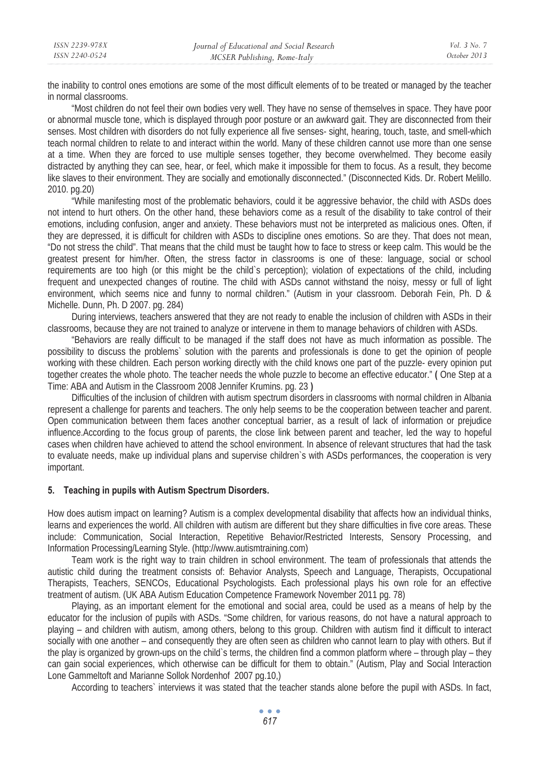the inability to control ones emotions are some of the most difficult elements of to be treated or managed by the teacher in normal classrooms.

"Most children do not feel their own bodies very well. They have no sense of themselves in space. They have poor or abnormal muscle tone, which is displayed through poor posture or an awkward gait. They are disconnected from their senses. Most children with disorders do not fully experience all five senses- sight, hearing, touch, taste, and smell-which teach normal children to relate to and interact within the world. Many of these children cannot use more than one sense at a time. When they are forced to use multiple senses together, they become overwhelmed. They become easily distracted by anything they can see, hear, or feel, which make it impossible for them to focus. As a result, they become like slaves to their environment. They are socially and emotionally disconnected." (Disconnected Kids. Dr. Robert Melillo. 2010. pg.20)

"While manifesting most of the problematic behaviors, could it be aggressive behavior, the child with ASDs does not intend to hurt others. On the other hand, these behaviors come as a result of the disability to take control of their emotions, including confusion, anger and anxiety. These behaviors must not be interpreted as malicious ones. Often, if they are depressed, it is difficult for children with ASDs to discipline ones emotions. So are they. That does not mean, "Do not stress the child". That means that the child must be taught how to face to stress or keep calm. This would be the greatest present for him/her. Often, the stress factor in classrooms is one of these: language, social or school requirements are too high (or this might be the child`s perception); violation of expectations of the child, including frequent and unexpected changes of routine. The child with ASDs cannot withstand the noisy, messy or full of light environment, which seems nice and funny to normal children." (Autism in your classroom. Deborah Fein, Ph. D & Michelle. Dunn, Ph. D 2007. pg. 284)

During interviews, teachers answered that they are not ready to enable the inclusion of children with ASDs in their classrooms, because they are not trained to analyze or intervene in them to manage behaviors of children with ASDs.

"Behaviors are really difficult to be managed if the staff does not have as much information as possible. The possibility to discuss the problems` solution with the parents and professionals is done to get the opinion of people working with these children. Each person working directly with the child knows one part of the puzzle- every opinion put together creates the whole photo. The teacher needs the whole puzzle to become an effective educator." **(** One Step at a Time: ABA and Autism in the Classroom 2008 Jennifer Krumins. pg. 23 **)**

Difficulties of the inclusion of children with autism spectrum disorders in classrooms with normal children in Albania represent a challenge for parents and teachers. The only help seems to be the cooperation between teacher and parent. Open communication between them faces another conceptual barrier, as a result of lack of information or prejudice influence.According to the focus group of parents, the close link between parent and teacher, led the way to hopeful cases when children have achieved to attend the school environment. In absence of relevant structures that had the task to evaluate needs, make up individual plans and supervise children`s with ASDs performances, the cooperation is very important.

#### **5. Teaching in pupils with Autism Spectrum Disorders.**

How does autism impact on learning? Autism is a complex developmental disability that affects how an individual thinks, learns and experiences the world. All children with autism are different but they share difficulties in five core areas. These include: Communication, Social Interaction, Repetitive Behavior/Restricted Interests, Sensory Processing, and Information Processing/Learning Style. (http://www.autismtraining.com)

Team work is the right way to train children in school environment. The team of professionals that attends the autistic child during the treatment consists of: Behavior Analysts, Speech and Language, Therapists, Occupational Therapists, Teachers, SENCOs, Educational Psychologists. Each professional plays his own role for an effective treatment of autism. (UK ABA Autism Education Competence Framework November 2011 pg. 78)

Playing, as an important element for the emotional and social area, could be used as a means of help by the educator for the inclusion of pupils with ASDs. "Some children, for various reasons, do not have a natural approach to playing – and children with autism, among others, belong to this group. Children with autism find it difficult to interact socially with one another – and consequently they are often seen as children who cannot learn to play with others. But if the play is organized by grown-ups on the child`s terms, the children find a common platform where – through play – they can gain social experiences, which otherwise can be difficult for them to obtain." (Autism, Play and Social Interaction Lone Gammeltoft and Marianne Sollok Nordenhof 2007 pg.10,)

According to teachers` interviews it was stated that the teacher stands alone before the pupil with ASDs. In fact,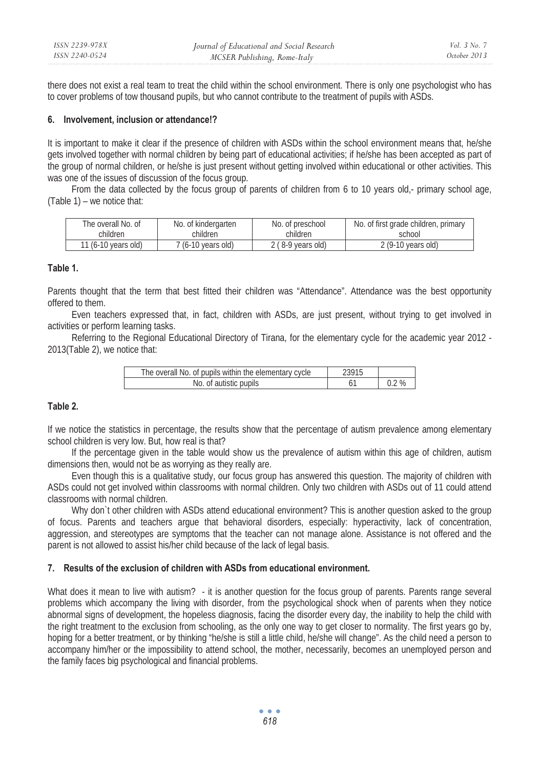there does not exist a real team to treat the child within the school environment. There is only one psychologist who has to cover problems of tow thousand pupils, but who cannot contribute to the treatment of pupils with ASDs.

#### **6. Involvement, inclusion or attendance!?**

It is important to make it clear if the presence of children with ASDs within the school environment means that, he/she gets involved together with normal children by being part of educational activities; if he/she has been accepted as part of the group of normal children, or he/she is just present without getting involved within educational or other activities. This was one of the issues of discussion of the focus group.

From the data collected by the focus group of parents of children from 6 to 10 years old,- primary school age, (Table 1) – we notice that:

| The overall No. of  | No. of kindergarten | No. of preschool    | No. of first grade children, primary |
|---------------------|---------------------|---------------------|--------------------------------------|
| children            | ndren ≎             | children            | school                               |
| 11 (6-10 years old) | ' (6-10 vears old)  | $2$ (8-9 years old) | 2 (9-10 years old)                   |

### **Table 1.**

Parents thought that the term that best fitted their children was "Attendance". Attendance was the best opportunity offered to them.

Even teachers expressed that, in fact, children with ASDs, are just present, without trying to get involved in activities or perform learning tasks.

Referring to the Regional Educational Directory of Tirana, for the elementary cycle for the academic year 2012 - 2013(Table 2), we notice that:

| The overall No. of pupils within the elementary cycle |  |
|-------------------------------------------------------|--|
| autistic pupils<br>No. of                             |  |

# **Table 2.**

If we notice the statistics in percentage, the results show that the percentage of autism prevalence among elementary school children is very low. But, how real is that?

If the percentage given in the table would show us the prevalence of autism within this age of children, autism dimensions then, would not be as worrying as they really are.

Even though this is a qualitative study, our focus group has answered this question. The majority of children with ASDs could not get involved within classrooms with normal children. Only two children with ASDs out of 11 could attend classrooms with normal children.

Why don`t other children with ASDs attend educational environment? This is another question asked to the group of focus. Parents and teachers argue that behavioral disorders, especially: hyperactivity, lack of concentration, aggression, and stereotypes are symptoms that the teacher can not manage alone. Assistance is not offered and the parent is not allowed to assist his/her child because of the lack of legal basis.

#### **7. Results of the exclusion of children with ASDs from educational environment.**

What does it mean to live with autism? - it is another question for the focus group of parents. Parents range several problems which accompany the living with disorder, from the psychological shock when of parents when they notice abnormal signs of development, the hopeless diagnosis, facing the disorder every day, the inability to help the child with the right treatment to the exclusion from schooling, as the only one way to get closer to normality. The first years go by, hoping for a better treatment, or by thinking "he/she is still a little child, he/she will change". As the child need a person to accompany him/her or the impossibility to attend school, the mother, necessarily, becomes an unemployed person and the family faces big psychological and financial problems.

> $\bullet$   $\bullet$   $\bullet$ *618*